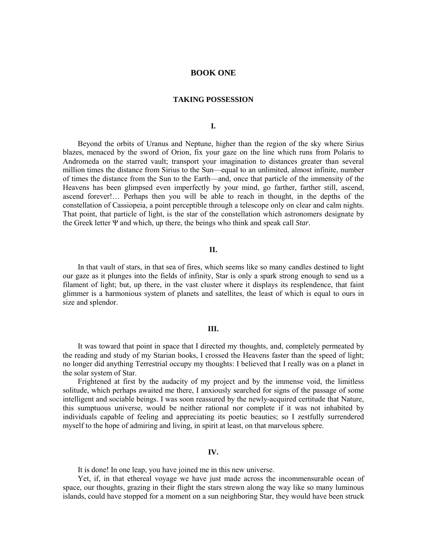# **BOOK ONE**

## **TAKING POSSESSION**

**I.**

Beyond the orbits of Uranus and Neptune, higher than the region of the sky where Sirius blazes, menaced by the sword of Orion, fix your gaze on the line which runs from Polaris to Andromeda on the starred vault; transport your imagination to distances greater than several million times the distance from Sirius to the Sun—equal to an unlimited, almost infinite, number of times the distance from the Sun to the Earth—and, once that particle of the immensity of the Heavens has been glimpsed even imperfectly by your mind, go farther, farther still, ascend, ascend forever!… Perhaps then you will be able to reach in thought, in the depths of the constellation of Cassiopeia, a point perceptible through a telescope only on clear and calm nights. That point, that particle of light, is the star of the constellation which astronomers designate by the Greek letter Ψ and which, up there, the beings who think and speak call *Star*.

# **II.**

In that vault of stars, in that sea of fires, which seems like so many candles destined to light our gaze as it plunges into the fields of infinity, Star is only a spark strong enough to send us a filament of light; but, up there, in the vast cluster where it displays its resplendence, that faint glimmer is a harmonious system of planets and satellites, the least of which is equal to ours in size and splendor.

### **III.**

It was toward that point in space that I directed my thoughts, and, completely permeated by the reading and study of my Starian books, I crossed the Heavens faster than the speed of light; no longer did anything Terrestrial occupy my thoughts: I believed that I really was on a planet in the solar system of Star.

Frightened at first by the audacity of my project and by the immense void, the limitless solitude, which perhaps awaited me there, I anxiously searched for signs of the passage of some intelligent and sociable beings. I was soon reassured by the newly-acquired certitude that Nature, this sumptuous universe, would be neither rational nor complete if it was not inhabited by individuals capable of feeling and appreciating its poetic beauties; so I zestfully surrendered myself to the hope of admiring and living, in spirit at least, on that marvelous sphere.

## **IV.**

It is done! In one leap, you have joined me in this new universe.

Yet, if, in that ethereal voyage we have just made across the incommensurable ocean of space, our thoughts, grazing in their flight the stars strewn along the way like so many luminous islands, could have stopped for a moment on a sun neighboring Star, they would have been struck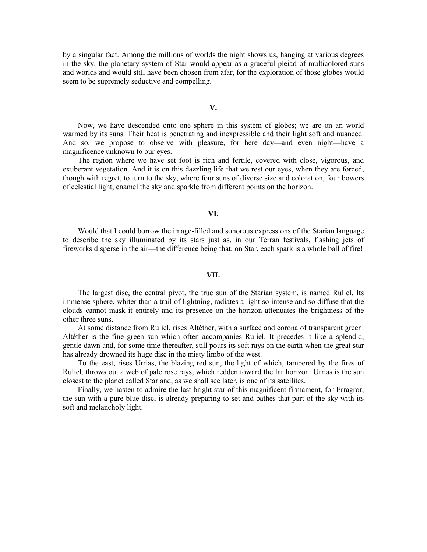by a singular fact. Among the millions of worlds the night shows us, hanging at various degrees in the sky, the planetary system of Star would appear as a graceful pleiad of multicolored suns and worlds and would still have been chosen from afar, for the exploration of those globes would seem to be supremely seductive and compelling.

### **V.**

Now, we have descended onto one sphere in this system of globes; we are on an world warmed by its suns. Their heat is penetrating and inexpressible and their light soft and nuanced. And so, we propose to observe with pleasure, for here day—and even night—have a magnificence unknown to our eyes.

The region where we have set foot is rich and fertile, covered with close, vigorous, and exuberant vegetation. And it is on this dazzling life that we rest our eyes, when they are forced, though with regret, to turn to the sky, where four suns of diverse size and coloration, four bowers of celestial light, enamel the sky and sparkle from different points on the horizon.

### **VI.**

Would that I could borrow the image-filled and sonorous expressions of the Starian language to describe the sky illuminated by its stars just as, in our Terran festivals, flashing jets of fireworks disperse in the air—the difference being that, on Star, each spark is a whole ball of fire!

#### **VII.**

The largest disc, the central pivot, the true sun of the Starian system, is named Ruliel. Its immense sphere, whiter than a trail of lightning, radiates a light so intense and so diffuse that the clouds cannot mask it entirely and its presence on the horizon attenuates the brightness of the other three suns.

At some distance from Ruliel, rises Altéther, with a surface and corona of transparent green. Altéther is the fine green sun which often accompanies Ruliel. It precedes it like a splendid, gentle dawn and, for some time thereafter, still pours its soft rays on the earth when the great star has already drowned its huge disc in the misty limbo of the west.

To the east, rises Urrias, the blazing red sun, the light of which, tampered by the fires of Ruliel, throws out a web of pale rose rays, which redden toward the far horizon. Urrias is the sun closest to the planet called Star and, as we shall see later, is one of its satellites.

Finally, we hasten to admire the last bright star of this magnificent firmament, for Erragror, the sun with a pure blue disc, is already preparing to set and bathes that part of the sky with its soft and melancholy light.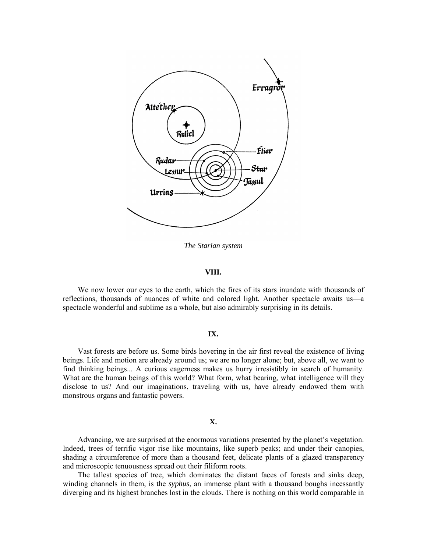

*The Starian system*

## **VIII.**

We now lower our eyes to the earth, which the fires of its stars inundate with thousands of reflections, thousands of nuances of white and colored light. Another spectacle awaits us—a spectacle wonderful and sublime as a whole, but also admirably surprising in its details.

## **IX.**

Vast forests are before us. Some birds hovering in the air first reveal the existence of living beings. Life and motion are already around us; we are no longer alone; but, above all, we want to find thinking beings... A curious eagerness makes us hurry irresistibly in search of humanity. What are the human beings of this world? What form, what bearing, what intelligence will they disclose to us? And our imaginations, traveling with us, have already endowed them with monstrous organs and fantastic powers.

## **X.**

Advancing, we are surprised at the enormous variations presented by the planet's vegetation. Indeed, trees of terrific vigor rise like mountains, like superb peaks; and under their canopies, shading a circumference of more than a thousand feet, delicate plants of a glazed transparency and microscopic tenuousness spread out their filiform roots.

The tallest species of tree, which dominates the distant faces of forests and sinks deep, winding channels in them, is the *syphus*, an immense plant with a thousand boughs incessantly diverging and its highest branches lost in the clouds. There is nothing on this world comparable in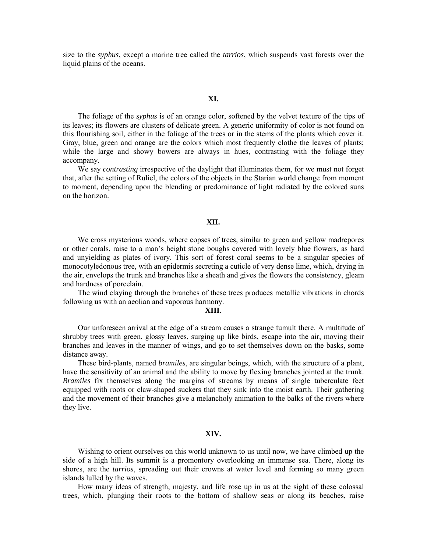size to the *syphus*, except a marine tree called the *tarrios*, which suspends vast forests over the liquid plains of the oceans.

#### **XI.**

The foliage of the *syphus* is of an orange color, softened by the velvet texture of the tips of its leaves; its flowers are clusters of delicate green. A generic uniformity of color is not found on this flourishing soil, either in the foliage of the trees or in the stems of the plants which cover it. Gray, blue, green and orange are the colors which most frequently clothe the leaves of plants; while the large and showy bowers are always in hues, contrasting with the foliage they accompany.

We say *contrasting* irrespective of the daylight that illuminates them, for we must not forget that, after the setting of Ruliel, the colors of the objects in the Starian world change from moment to moment, depending upon the blending or predominance of light radiated by the colored suns on the horizon.

## **XII.**

We cross mysterious woods, where copses of trees, similar to green and yellow madrepores or other corals, raise to a man's height stone boughs covered with lovely blue flowers, as hard and unyielding as plates of ivory. This sort of forest coral seems to be a singular species of monocotyledonous tree, with an epidermis secreting a cuticle of very dense lime, which, drying in the air, envelops the trunk and branches like a sheath and gives the flowers the consistency, gleam and hardness of porcelain.

The wind claying through the branches of these trees produces metallic vibrations in chords following us with an aeolian and vaporous harmony.

#### **XIII.**

Our unforeseen arrival at the edge of a stream causes a strange tumult there. A multitude of shrubby trees with green, glossy leaves, surging up like birds, escape into the air, moving their branches and leaves in the manner of wings, and go to set themselves down on the basks, some distance away.

These bird-plants, named *bramiles*, are singular beings, which, with the structure of a plant, have the sensitivity of an animal and the ability to move by flexing branches jointed at the trunk. *Bramiles* fix themselves along the margins of streams by means of single tuberculate feet equipped with roots or claw-shaped suckers that they sink into the moist earth. Their gathering and the movement of their branches give a melancholy animation to the balks of the rivers where they live.

### **XIV.**

Wishing to orient ourselves on this world unknown to us until now, we have climbed up the side of a high hill. Its summit is a promontory overlooking an immense sea. There, along its shores, are the *tarrios*, spreading out their crowns at water level and forming so many green islands lulled by the waves.

How many ideas of strength, majesty, and life rose up in us at the sight of these colossal trees, which, plunging their roots to the bottom of shallow seas or along its beaches, raise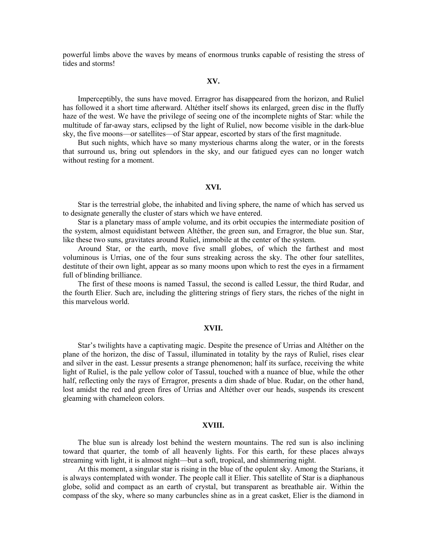powerful limbs above the waves by means of enormous trunks capable of resisting the stress of tides and storms!

### **XV.**

Imperceptibly, the suns have moved. Erragror has disappeared from the horizon, and Ruliel has followed it a short time afterward. Altéther itself shows its enlarged, green disc in the fluffy haze of the west. We have the privilege of seeing one of the incomplete nights of Star: while the multitude of far-away stars, eclipsed by the light of Ruliel, now become visible in the dark-blue sky, the five moons—or satellites—of Star appear, escorted by stars of the first magnitude.

But such nights, which have so many mysterious charms along the water, or in the forests that surround us, bring out splendors in the sky, and our fatigued eyes can no longer watch without resting for a moment.

## **XVI.**

Star is the terrestrial globe, the inhabited and living sphere, the name of which has served us to designate generally the cluster of stars which we have entered.

Star is a planetary mass of ample volume, and its orbit occupies the intermediate position of the system, almost equidistant between Altéther, the green sun, and Erragror, the blue sun. Star, like these two suns, gravitates around Ruliel, immobile at the center of the system.

Around Star, or the earth, move five small globes, of which the farthest and most voluminous is Urrias, one of the four suns streaking across the sky. The other four satellites, destitute of their own light, appear as so many moons upon which to rest the eyes in a firmament full of blinding brilliance.

The first of these moons is named Tassul, the second is called Lessur, the third Rudar, and the fourth Elier. Such are, including the glittering strings of fiery stars, the riches of the night in this marvelous world.

### **XVII.**

Star's twilights have a captivating magic. Despite the presence of Urrias and Altéther on the plane of the horizon, the disc of Tassul, illuminated in totality by the rays of Ruliel, rises clear and silver in the east. Lessur presents a strange phenomenon; half its surface, receiving the white light of Ruliel, is the pale yellow color of Tassul, touched with a nuance of blue, while the other half, reflecting only the rays of Erragror, presents a dim shade of blue. Rudar, on the other hand, lost amidst the red and green fires of Urrias and Altéther over our heads, suspends its crescent gleaming with chameleon colors.

## **XVIII.**

The blue sun is already lost behind the western mountains. The red sun is also inclining toward that quarter, the tomb of all heavenly lights. For this earth, for these places always streaming with light, it is almost night—but a soft, tropical, and shimmering night.

At this moment, a singular star is rising in the blue of the opulent sky. Among the Starians, it is always contemplated with wonder. The people call it Elier. This satellite of Star is a diaphanous globe, solid and compact as an earth of crystal, but transparent as breathable air. Within the compass of the sky, where so many carbuncles shine as in a great casket, Elier is the diamond in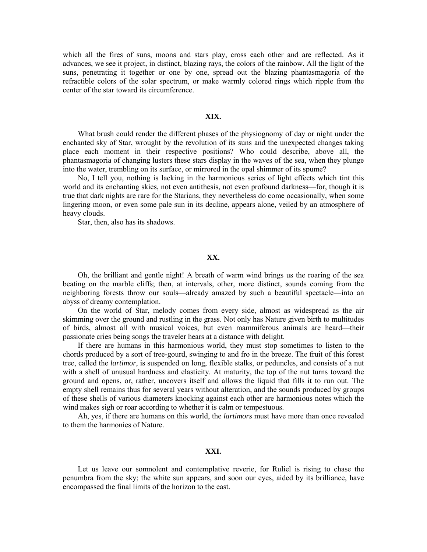which all the fires of suns, moons and stars play, cross each other and are reflected. As it advances, we see it project, in distinct, blazing rays, the colors of the rainbow. All the light of the suns, penetrating it together or one by one, spread out the blazing phantasmagoria of the refractible colors of the solar spectrum, or make warmly colored rings which ripple from the center of the star toward its circumference.

### **XIX.**

What brush could render the different phases of the physiognomy of day or night under the enchanted sky of Star, wrought by the revolution of its suns and the unexpected changes taking place each moment in their respective positions? Who could describe, above all, the phantasmagoria of changing lusters these stars display in the waves of the sea, when they plunge into the water, trembling on its surface, or mirrored in the opal shimmer of its spume?

No, I tell you, nothing is lacking in the harmonious series of light effects which tint this world and its enchanting skies, not even antithesis, not even profound darkness—for, though it is true that dark nights are rare for the Starians, they nevertheless do come occasionally, when some lingering moon, or even some pale sun in its decline, appears alone, veiled by an atmosphere of heavy clouds.

Star, then, also has its shadows.

# **XX.**

Oh, the brilliant and gentle night! A breath of warm wind brings us the roaring of the sea beating on the marble cliffs; then, at intervals, other, more distinct, sounds coming from the neighboring forests throw our souls—already amazed by such a beautiful spectacle—into an abyss of dreamy contemplation.

On the world of Star, melody comes from every side, almost as widespread as the air skimming over the ground and rustling in the grass. Not only has Nature given birth to multitudes of birds, almost all with musical voices, but even mammiferous animals are heard—their passionate cries being songs the traveler hears at a distance with delight.

If there are humans in this harmonious world, they must stop sometimes to listen to the chords produced by a sort of tree-gourd, swinging to and fro in the breeze. The fruit of this forest tree, called the *lartimor*, is suspended on long, flexible stalks, or peduncles, and consists of a nut with a shell of unusual hardness and elasticity. At maturity, the top of the nut turns toward the ground and opens, or, rather, uncovers itself and allows the liquid that fills it to run out. The empty shell remains thus for several years without alteration, and the sounds produced by groups of these shells of various diameters knocking against each other are harmonious notes which the wind makes sigh or roar according to whether it is calm or tempestuous.

Ah, yes, if there are humans on this world, the *lartimors* must have more than once revealed to them the harmonies of Nature.

## **XXI.**

Let us leave our somnolent and contemplative reverie, for Ruliel is rising to chase the penumbra from the sky; the white sun appears, and soon our eyes, aided by its brilliance, have encompassed the final limits of the horizon to the east.